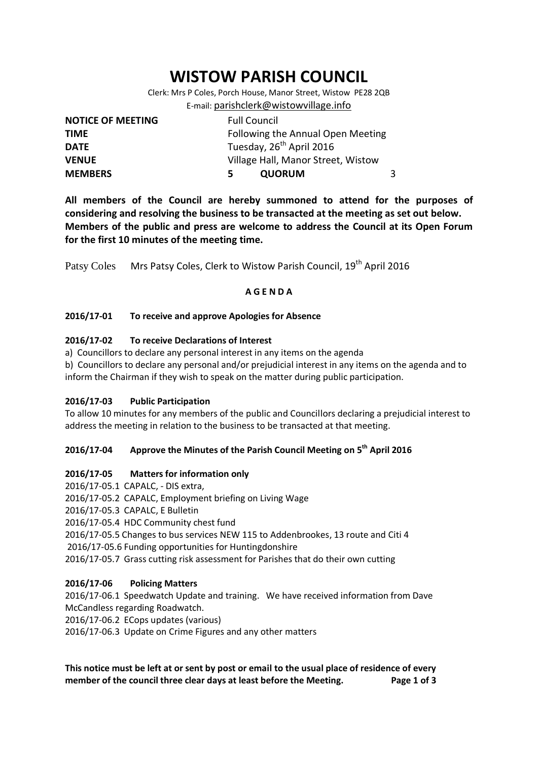# **WISTOW PARISH COUNCIL**

Clerk: Mrs P Coles, Porch House, Manor Street, Wistow PE28 2QB E-mail: [parishclerk@wistowvillage.info](mailto:parishclerk@wistowvillage.info)

| <b>NOTICE OF MEETING</b> | <b>Full Council</b>                  |   |
|--------------------------|--------------------------------------|---|
| <b>TIME</b>              | Following the Annual Open Meeting    |   |
| <b>DATE</b>              | Tuesday, 26 <sup>th</sup> April 2016 |   |
| <b>VENUE</b>             | Village Hall, Manor Street, Wistow   |   |
| <b>MEMBERS</b>           | <b>QUORUM</b><br>5.                  | 3 |

**All members of the Council are hereby summoned to attend for the purposes of considering and resolving the business to be transacted at the meeting as set out below. Members of the public and press are welcome to address the Council at its Open Forum for the first 10 minutes of the meeting time.**

Patsy Coles Mrs Patsy Coles, Clerk to Wistow Parish Council, 19<sup>th</sup> April 2016

# **A G E N D A**

# **2016/17-01 To receive and approve Apologies for Absence**

# **2016/17-02 To receive Declarations of Interest**

a) Councillors to declare any personal interest in any items on the agenda

b) Councillors to declare any personal and/or prejudicial interest in any items on the agenda and to inform the Chairman if they wish to speak on the matter during public participation.

# **2016/17-03 Public Participation**

To allow 10 minutes for any members of the public and Councillors declaring a prejudicial interest to address the meeting in relation to the business to be transacted at that meeting.

# **2016/17-04 Approve the Minutes of the Parish Council Meeting on 5 th April 2016**

# **2016/17-05 Matters for information only**

- 2016/17-05.1 CAPALC, DIS extra,
- 2016/17-05.2 CAPALC, Employment briefing on Living Wage
- 2016/17-05.3 CAPALC, E Bulletin

2016/17-05.4 HDC Community chest fund

2016/17-05.5 Changes to bus services NEW 115 to Addenbrookes, 13 route and Citi 4

2016/17-05.6 Funding opportunities for Huntingdonshire

2016/17-05.7 Grass cutting risk assessment for Parishes that do their own cutting

# **2016/17-06 Policing Matters**

2016/17-06.1 Speedwatch Update and training. We have received information from Dave McCandless regarding Roadwatch.

2016/17-06.2 ECops updates (various)

2016/17-06.3 Update on Crime Figures and any other matters

**This notice must be left at or sent by post or email to the usual place of residence of every member of the council three clear days at least before the Meeting. Page 1 of 3**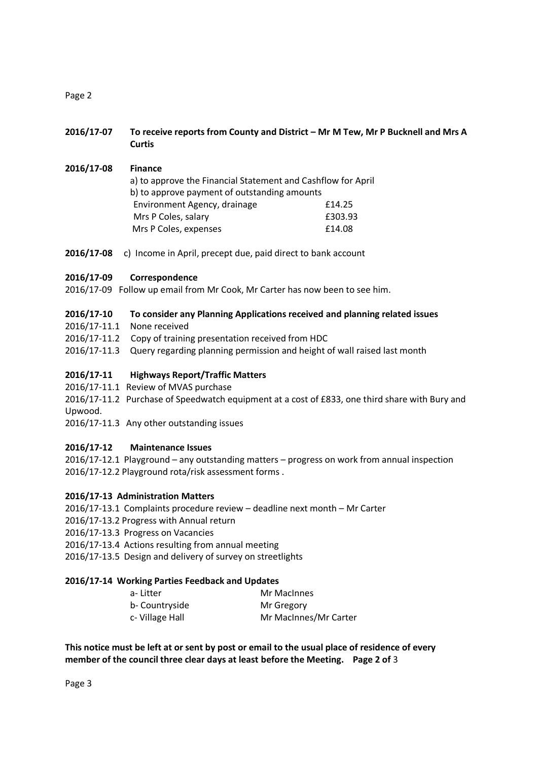Page 2

- **2016/17-07 To receive reports from County and District – Mr M Tew, Mr P Bucknell and Mrs A Curtis**
- **2016/17-08 Finance** a) to approve the Financial Statement and Cashflow for April b) to approve payment of outstanding amounts Environment Agency, drainage £14.25 Mrs P Coles, salary **E303.93** Mrs P Coles, expenses **E14.08**
- **2016/17-08** c) Income in April, precept due, paid direct to bank account

# **2016/17-09 Correspondence**

2016/17-09 Follow up email from Mr Cook, Mr Carter has now been to see him.

#### **2016/17-10 To consider any Planning Applications received and planning related issues**

- 2016/17-11.1 None received
- 2016/17-11.2 Copy of training presentation received from HDC
- 2016/17-11.3 Query regarding planning permission and height of wall raised last month

#### **2016/17-11 Highways Report/Traffic Matters**

- 2016/17-11.1 Review of MVAS purchase
- 2016/17-11.2 Purchase of Speedwatch equipment at a cost of £833, one third share with Bury and Upwood.
- 2016/17-11.3 Any other outstanding issues

# **2016/17-12 Maintenance Issues**

2016/17-12.1 Playground – any outstanding matters – progress on work from annual inspection 2016/17-12.2 Playground rota/risk assessment forms .

# **2016/17-13 Administration Matters**

- 2016/17-13.1 Complaints procedure review deadline next month Mr Carter
- 2016/17-13.2 Progress with Annual return
- 2016/17-13.3 Progress on Vacancies
- 2016/17-13.4 Actions resulting from annual meeting
- 2016/17-13.5 Design and delivery of survey on streetlights

#### **2016/17-14 Working Parties Feedback and Updates**

| a- Litter      | Mr MacInnes           |
|----------------|-----------------------|
|                |                       |
| b- Countryside | Mr Gregory            |
| c-Village Hall | Mr MacInnes/Mr Carter |

**This notice must be left at or sent by post or email to the usual place of residence of every member of the council three clear days at least before the Meeting. Page 2 of** 3

Page 3